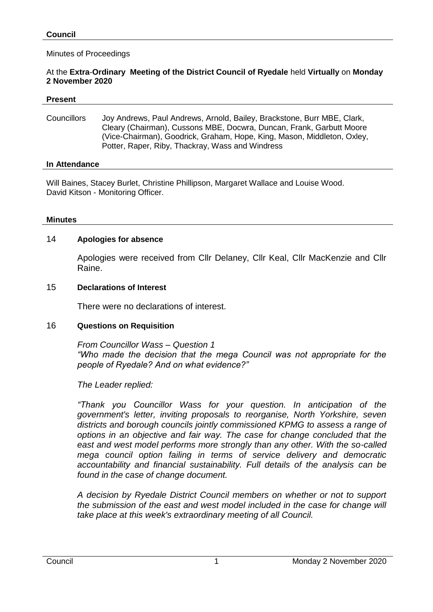### Minutes of Proceedings

### At the **Extra**-**Ordinary Meeting of the District Council of Ryedale** held **Virtually** on **Monday 2 November 2020**

#### **Present**

Councillors Joy Andrews, Paul Andrews, Arnold, Bailey, Brackstone, Burr MBE, Clark, Cleary (Chairman), Cussons MBE, Docwra, Duncan, Frank, Garbutt Moore (Vice-Chairman), Goodrick, Graham, Hope, King, Mason, Middleton, Oxley, Potter, Raper, Riby, Thackray, Wass and Windress

#### **In Attendance**

Will Baines, Stacey Burlet, Christine Phillipson, Margaret Wallace and Louise Wood. David Kitson - Monitoring Officer.

#### **Minutes**

## 14 **Apologies for absence**

Apologies were received from Cllr Delaney, Cllr Keal, Cllr MacKenzie and Cllr Raine.

#### 15 **Declarations of Interest**

There were no declarations of interest.

## 16 **Questions on Requisition**

*From Councillor Wass – Question 1 "Who made the decision that the mega Council was not appropriate for the people of Ryedale? And on what evidence?"*

*The Leader replied:*

*"Thank you Councillor Wass for your question. In anticipation of the government's letter, inviting proposals to reorganise, North Yorkshire, seven districts and borough councils jointly commissioned KPMG to assess a range of options in an objective and fair way. The case for change concluded that the east and west model performs more strongly than any other. With the so-called mega council option failing in terms of service delivery and democratic accountability and financial sustainability. Full details of the analysis can be found in the case of change document.*

*A decision by Ryedale District Council members on whether or not to support the submission of the east and west model included in the case for change will take place at this week's extraordinary meeting of all Council.*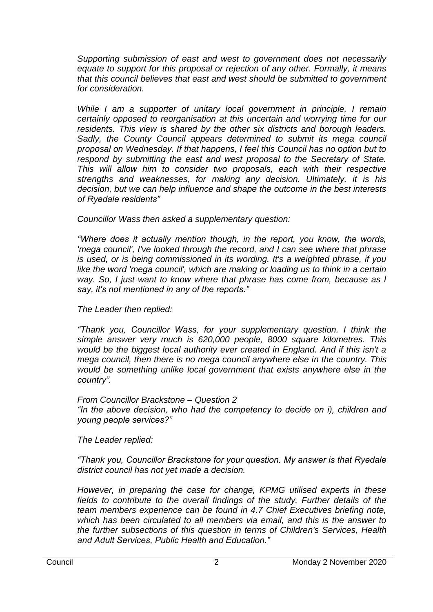*Supporting submission of east and west to government does not necessarily equate to support for this proposal or rejection of any other. Formally, it means that this council believes that east and west should be submitted to government for consideration.* 

*While I am a supporter of unitary local government in principle, I remain certainly opposed to reorganisation at this uncertain and worrying time for our residents. This view is shared by the other six districts and borough leaders. Sadly, the County Council appears determined to submit its mega council proposal on Wednesday. If that happens, I feel this Council has no option but to respond by submitting the east and west proposal to the Secretary of State. This will allow him to consider two proposals, each with their respective strengths and weaknesses, for making any decision. Ultimately, it is his decision, but we can help influence and shape the outcome in the best interests of Ryedale residents"*

*Councillor Wass then asked a supplementary question:*

*"Where does it actually mention though, in the report, you know, the words, 'mega council', I've looked through the record, and I can see where that phrase is used, or is being commissioned in its wording. It's a weighted phrase, if you like the word 'mega council', which are making or loading us to think in a certain way. So, I just want to know where that phrase has come from, because as I say, it's not mentioned in any of the reports."*

# *The Leader then replied:*

*"Thank you, Councillor Wass, for your supplementary question. I think the simple answer very much is 620,000 people, 8000 square kilometres. This would be the biggest local authority ever created in England. And if this isn't a mega council, then there is no mega council anywhere else in the country. This would be something unlike local government that exists anywhere else in the country".* 

# *From Councillor Brackstone – Question 2*

*"In the above decision, who had the competency to decide on i), children and young people services?"*

*The Leader replied:*

*"Thank you, Councillor Brackstone for your question. My answer is that Ryedale district council has not yet made a decision.* 

*However, in preparing the case for change, KPMG utilised experts in these fields to contribute to the overall findings of the study. Further details of the team members experience can be found in 4.7 Chief Executives briefing note, which has been circulated to all members via email, and this is the answer to the further subsections of this question in terms of Children's Services, Health and Adult Services, Public Health and Education."*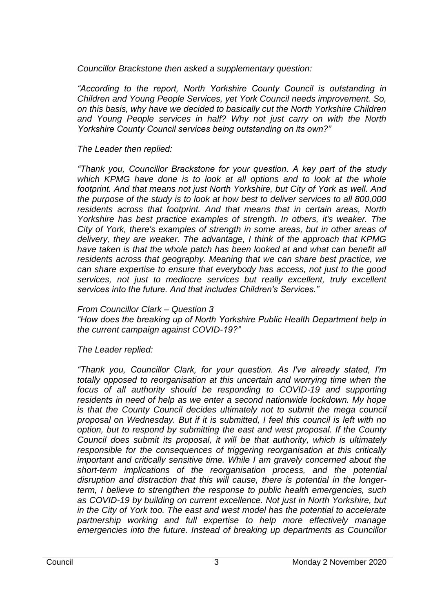*Councillor Brackstone then asked a supplementary question:*

*"According to the report, North Yorkshire County Council is outstanding in Children and Young People Services, yet York Council needs improvement. So, on this basis, why have we decided to basically cut the North Yorkshire Children and Young People services in half? Why not just carry on with the North Yorkshire County Council services being outstanding on its own?"*

# *The Leader then replied:*

*"Thank you, Councillor Brackstone for your question. A key part of the study which KPMG have done is to look at all options and to look at the whole footprint. And that means not just North Yorkshire, but City of York as well. And the purpose of the study is to look at how best to deliver services to all 800,000 residents across that footprint. And that means that in certain areas, North Yorkshire has best practice examples of strength. In others, it's weaker. The City of York, there's examples of strength in some areas, but in other areas of delivery, they are weaker. The advantage, I think of the approach that KPMG have taken is that the whole patch has been looked at and what can benefit all residents across that geography. Meaning that we can share best practice, we can share expertise to ensure that everybody has access, not just to the good services, not just to mediocre services but really excellent, truly excellent services into the future. And that includes Children's Services."*

## *From Councillor Clark – Question 3*

*"How does the breaking up of North Yorkshire Public Health Department help in the current campaign against COVID-19?"*

*The Leader replied:*

*"Thank you, Councillor Clark, for your question. As I've already stated, I'm totally opposed to reorganisation at this uncertain and worrying time when the*  focus of all authority should be responding to COVID-19 and supporting *residents in need of help as we enter a second nationwide lockdown. My hope is that the County Council decides ultimately not to submit the mega council proposal on Wednesday. But if it is submitted, I feel this council is left with no option, but to respond by submitting the east and west proposal. If the County Council does submit its proposal, it will be that authority, which is ultimately responsible for the consequences of triggering reorganisation at this critically important and critically sensitive time. While I am gravely concerned about the short-term implications of the reorganisation process, and the potential disruption and distraction that this will cause, there is potential in the longerterm, I believe to strengthen the response to public health emergencies, such as COVID-19 by building on current excellence. Not just in North Yorkshire, but in the City of York too. The east and west model has the potential to accelerate partnership working and full expertise to help more effectively manage emergencies into the future. Instead of breaking up departments as Councillor*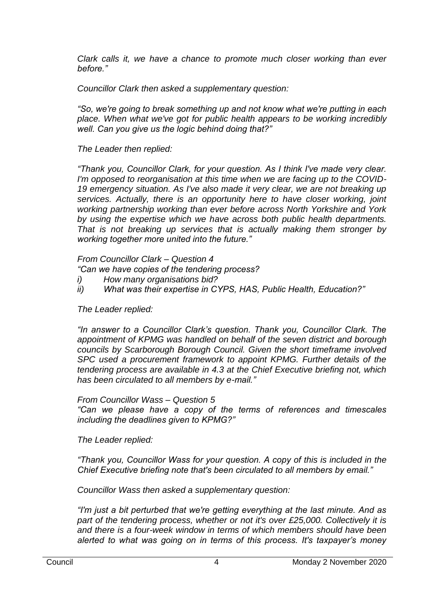*Clark calls it, we have a chance to promote much closer working than ever before."*

*Councillor Clark then asked a supplementary question:*

*"So, we're going to break something up and not know what we're putting in each place. When what we've got for public health appears to be working incredibly well. Can you give us the logic behind doing that?"*

*The Leader then replied:*

*"Thank you, Councillor Clark, for your question. As I think I've made very clear. I'm opposed to reorganisation at this time when we are facing up to the COVID-19 emergency situation. As I've also made it very clear, we are not breaking up services. Actually, there is an opportunity here to have closer working, joint working partnership working than ever before across North Yorkshire and York by using the expertise which we have across both public health departments. That is not breaking up services that is actually making them stronger by working together more united into the future."*

*From Councillor Clark – Question 4*

*"Can we have copies of the tendering process?* 

- *i) How many organisations bid?*
- *ii) What was their expertise in CYPS, HAS, Public Health, Education?"*

*The Leader replied:*

*"In answer to a Councillor Clark's question. Thank you, Councillor Clark. The appointment of KPMG was handled on behalf of the seven district and borough councils by Scarborough Borough Council. Given the short timeframe involved SPC used a procurement framework to appoint KPMG. Further details of the tendering process are available in 4.3 at the Chief Executive briefing not, which has been circulated to all members by e-mail."*

*From Councillor Wass – Question 5*

*"Can we please have a copy of the terms of references and timescales including the deadlines given to KPMG?"*

*The Leader replied:*

*"Thank you, Councillor Wass for your question. A copy of this is included in the Chief Executive briefing note that's been circulated to all members by email."*

*Councillor Wass then asked a supplementary question:*

*"I'm just a bit perturbed that we're getting everything at the last minute. And as part of the tendering process, whether or not it's over £25,000. Collectively it is and there is a four-week window in terms of which members should have been alerted to what was going on in terms of this process. It's taxpayer's money*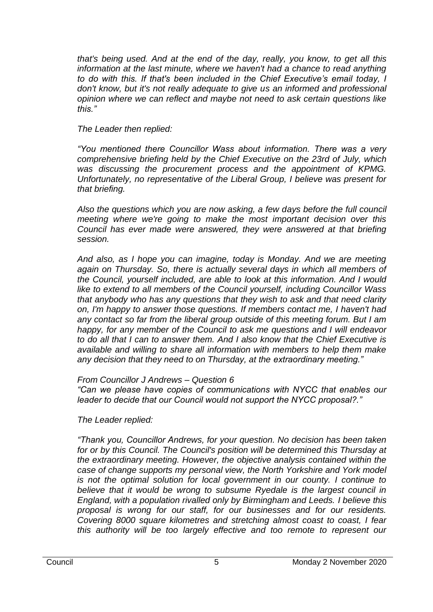*that's being used. And at the end of the day, really, you know, to get all this information at the last minute, where we haven't had a chance to read anything to do with this. If that's been included in the Chief Executive's email today, I don't know, but it's not really adequate to give us an informed and professional opinion where we can reflect and maybe not need to ask certain questions like this."*

## *The Leader then replied:*

*"You mentioned there Councillor Wass about information. There was a very comprehensive briefing held by the Chief Executive on the 23rd of July, which was discussing the procurement process and the appointment of KPMG. Unfortunately, no representative of the Liberal Group, I believe was present for that briefing.* 

*Also the questions which you are now asking, a few days before the full council meeting where we're going to make the most important decision over this Council has ever made were answered, they were answered at that briefing session.* 

*And also, as I hope you can imagine, today is Monday. And we are meeting again on Thursday. So, there is actually several days in which all members of the Council, yourself included, are able to look at this information. And I would like to extend to all members of the Council yourself, including Councillor Wass that anybody who has any questions that they wish to ask and that need clarity on, I'm happy to answer those questions. If members contact me, I haven't had any contact so far from the liberal group outside of this meeting forum. But I am happy, for any member of the Council to ask me questions and I will endeavor to do all that I can to answer them. And I also know that the Chief Executive is available and willing to share all information with members to help them make any decision that they need to on Thursday, at the extraordinary meeting."*

# *From Councillor J Andrews – Question 6*

*"Can we please have copies of communications with NYCC that enables our leader to decide that our Council would not support the NYCC proposal?."*

*The Leader replied:*

*"Thank you, Councillor Andrews, for your question. No decision has been taken for or by this Council. The Council's position will be determined this Thursday at the extraordinary meeting. However, the objective analysis contained within the case of change supports my personal view, the North Yorkshire and York model is not the optimal solution for local government in our county. I continue to believe that it would be wrong to subsume Ryedale is the largest council in England, with a population rivalled only by Birmingham and Leeds. I believe this proposal is wrong for our staff, for our businesses and for our residents. Covering 8000 square kilometres and stretching almost coast to coast, I fear this authority will be too largely effective and too remote to represent our*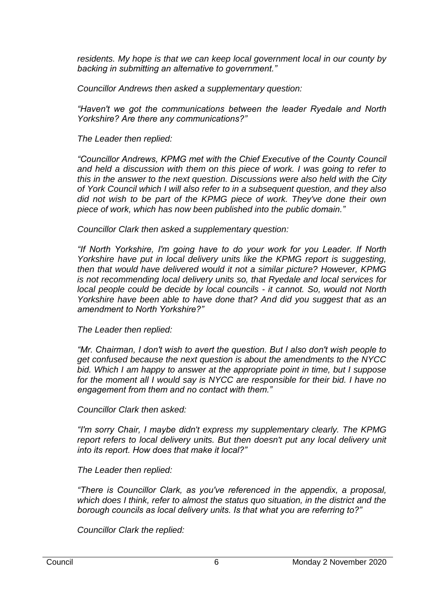*residents. My hope is that we can keep local government local in our county by backing in submitting an alternative to government."*

*Councillor Andrews then asked a supplementary question:*

*"Haven't we got the communications between the leader Ryedale and North Yorkshire? Are there any communications?"*

*The Leader then replied:*

*"Councillor Andrews, KPMG met with the Chief Executive of the County Council*  and held a discussion with them on this piece of work. I was going to refer to *this in the answer to the next question. Discussions were also held with the City of York Council which I will also refer to in a subsequent question, and they also did not wish to be part of the KPMG piece of work. They've done their own piece of work, which has now been published into the public domain."*

*Councillor Clark then asked a supplementary question:*

*"If North Yorkshire, I'm going have to do your work for you Leader. If North Yorkshire have put in local delivery units like the KPMG report is suggesting. then that would have delivered would it not a similar picture? However, KPMG is not recommending local delivery units so, that Ryedale and local services for local people could be decide by local councils - it cannot. So, would not North Yorkshire have been able to have done that? And did you suggest that as an amendment to North Yorkshire?"*

*The Leader then replied:*

*"Mr. Chairman, I don't wish to avert the question. But I also don't wish people to get confused because the next question is about the amendments to the NYCC bid. Which I am happy to answer at the appropriate point in time, but I suppose for the moment all I would say is NYCC are responsible for their bid. I have no engagement from them and no contact with them."*

*Councillor Clark then asked:*

*"I'm sorry Chair, I maybe didn't express my supplementary clearly. The KPMG*  report refers to local delivery units. But then doesn't put any local delivery unit *into its report. How does that make it local?"*

*The Leader then replied:*

*"There is Councillor Clark, as you've referenced in the appendix, a proposal, which does I think, refer to almost the status quo situation, in the district and the borough councils as local delivery units. Is that what you are referring to?"*

*Councillor Clark the replied:*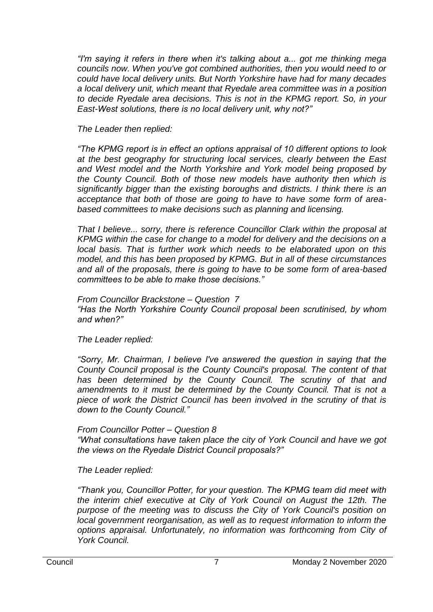*"I'm saying it refers in there when it's talking about a... got me thinking mega councils now. When you've got combined authorities, then you would need to or could have local delivery units. But North Yorkshire have had for many decades a local delivery unit, which meant that Ryedale area committee was in a position to decide Ryedale area decisions. This is not in the KPMG report. So, in your East-West solutions, there is no local delivery unit, why not?"*

## *The Leader then replied:*

*"The KPMG report is in effect an options appraisal of 10 different options to look at the best geography for structuring local services, clearly between the East and West model and the North Yorkshire and York model being proposed by the County Council. Both of those new models have authority then which is significantly bigger than the existing boroughs and districts. I think there is an acceptance that both of those are going to have to have some form of areabased committees to make decisions such as planning and licensing.* 

*That I believe... sorry, there is reference Councillor Clark within the proposal at KPMG within the case for change to a model for delivery and the decisions on a local basis. That is further work which needs to be elaborated upon on this model, and this has been proposed by KPMG. But in all of these circumstances and all of the proposals, there is going to have to be some form of area-based committees to be able to make those decisions."*

## *From Councillor Brackstone – Question 7*

*"Has the North Yorkshire County Council proposal been scrutinised, by whom and when?"*

## *The Leader replied:*

*"Sorry, Mr. Chairman, I believe I've answered the question in saying that the County Council proposal is the County Council's proposal. The content of that*  has been determined by the County Council. The scrutiny of that and amendments to it must be determined by the County Council. That is not a *piece of work the District Council has been involved in the scrutiny of that is down to the County Council."*

## *From Councillor Potter – Question 8*

*"What consultations have taken place the city of York Council and have we got the views on the Ryedale District Council proposals?"*

# *The Leader replied:*

*"Thank you, Councillor Potter, for your question. The KPMG team did meet with the interim chief executive at City of York Council on August the 12th. The purpose of the meeting was to discuss the City of York Council's position on local government reorganisation, as well as to request information to inform the options appraisal. Unfortunately, no information was forthcoming from City of York Council.*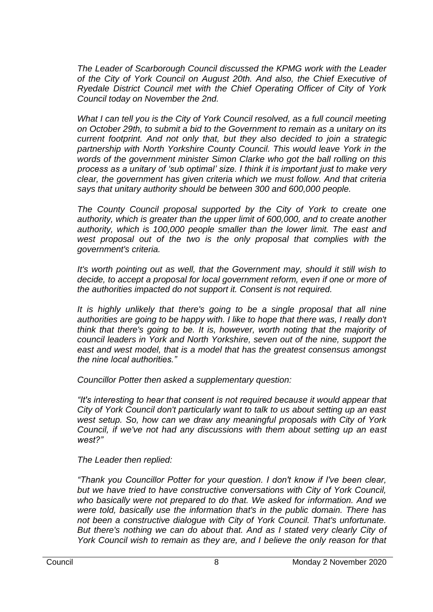*The Leader of Scarborough Council discussed the KPMG work with the Leader of the City of York Council on August 20th. And also, the Chief Executive of Ryedale District Council met with the Chief Operating Officer of City of York Council today on November the 2nd.* 

*What I can tell you is the City of York Council resolved, as a full council meeting on October 29th, to submit a bid to the Government to remain as a unitary on its current footprint. And not only that, but they also decided to join a strategic partnership with North Yorkshire County Council. This would leave York in the words of the government minister Simon Clarke who got the ball rolling on this process as a unitary of 'sub optimal' size. I think it is important just to make very clear, the government has given criteria which we must follow. And that criteria says that unitary authority should be between 300 and 600,000 people.*

*The County Council proposal supported by the City of York to create one authority, which is greater than the upper limit of 600,000, and to create another authority, which is 100,000 people smaller than the lower limit. The east and*  west proposal out of the two is the only proposal that complies with the *government's criteria.* 

*It's worth pointing out as well, that the Government may, should it still wish to* decide, to accept a proposal for local government reform, even if one or more of *the authorities impacted do not support it. Consent is not required.* 

It is highly unlikely that there's going to be a single proposal that all nine authorities are going to be happy with. I like to hope that there was, I really don't *think that there's going to be. It is, however, worth noting that the majority of council leaders in York and North Yorkshire, seven out of the nine, support the east and west model, that is a model that has the greatest consensus amongst the nine local authorities."*

*Councillor Potter then asked a supplementary question:*

*"It's interesting to hear that consent is not required because it would appear that City of York Council don't particularly want to talk to us about setting up an east west setup. So, how can we draw any meaningful proposals with City of York Council, if we've not had any discussions with them about setting up an east west?"*

*The Leader then replied:*

*"Thank you Councillor Potter for your question. I don't know if I've been clear, but we have tried to have constructive conversations with City of York Council, who basically were not prepared to do that. We asked for information. And we were told, basically use the information that's in the public domain. There has not been a constructive dialogue with City of York Council. That's unfortunate. But there's nothing we can do about that. And as I stated very clearly City of York Council wish to remain as they are, and I believe the only reason for that*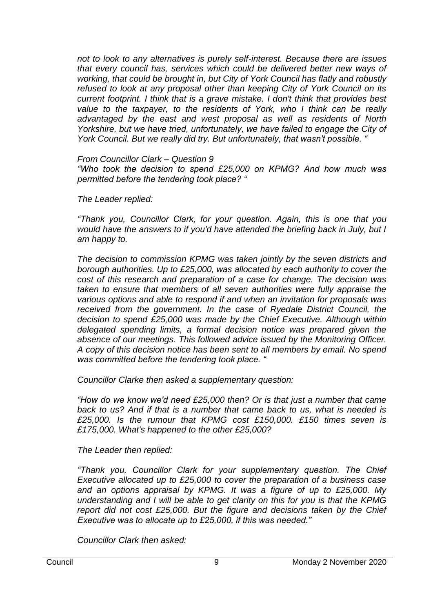*not to look to any alternatives is purely self-interest. Because there are issues that every council has, services which could be delivered better new ways of working, that could be brought in, but City of York Council has flatly and robustly refused to look at any proposal other than keeping City of York Council on its current footprint. I think that is a grave mistake. I don't think that provides best value to the taxpayer, to the residents of York, who I think can be really advantaged by the east and west proposal as well as residents of North Yorkshire, but we have tried, unfortunately, we have failed to engage the City of York Council. But we really did try. But unfortunately, that wasn't possible. "*

*From Councillor Clark – Question 9*

*"Who took the decision to spend £25,000 on KPMG? And how much was permitted before the tendering took place? "*

*The Leader replied:*

*"Thank you, Councillor Clark, for your question. Again, this is one that you would have the answers to if you'd have attended the briefing back in July, but I am happy to.*

*The decision to commission KPMG was taken jointly by the seven districts and borough authorities. Up to £25,000, was allocated by each authority to cover the cost of this research and preparation of a case for change. The decision was taken to ensure that members of all seven authorities were fully appraise the various options and able to respond if and when an invitation for proposals was*  received from the government. In the case of Ryedale District Council, the *decision to spend £25,000 was made by the Chief Executive. Although within delegated spending limits, a formal decision notice was prepared given the absence of our meetings. This followed advice issued by the Monitoring Officer. A copy of this decision notice has been sent to all members by email. No spend was committed before the tendering took place. "*

*Councillor Clarke then asked a supplementary question:*

*"How do we know we'd need £25,000 then? Or is that just a number that came back to us? And if that is a number that came back to us, what is needed is £25,000. Is the rumour that KPMG cost £150,000. £150 times seven is £175,000. What's happened to the other £25,000?*

*The Leader then replied:*

*"Thank you, Councillor Clark for your supplementary question. The Chief Executive allocated up to £25,000 to cover the preparation of a business case and an options appraisal by KPMG. It was a figure of up to £25,000. My understanding and I will be able to get clarity on this for you is that the KPMG report did not cost £25,000. But the figure and decisions taken by the Chief Executive was to allocate up to £25,000, if this was needed."*

*Councillor Clark then asked:*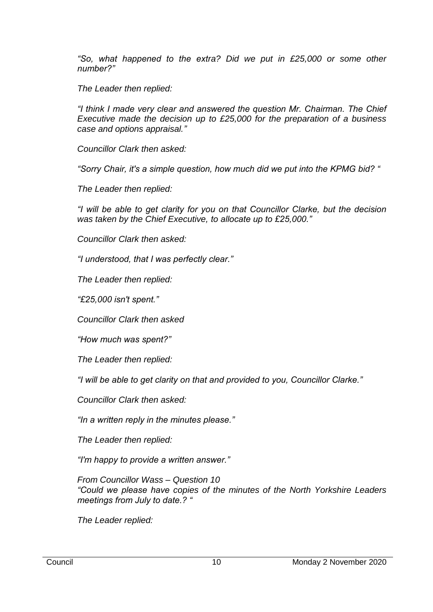*"So, what happened to the extra? Did we put in £25,000 or some other number?"*

*The Leader then replied:*

*"I think I made very clear and answered the question Mr. Chairman. The Chief Executive made the decision up to £25,000 for the preparation of a business case and options appraisal."*

*Councillor Clark then asked:*

*"Sorry Chair, it's a simple question, how much did we put into the KPMG bid? "*

*The Leader then replied:*

*"I will be able to get clarity for you on that Councillor Clarke, but the decision was taken by the Chief Executive, to allocate up to £25,000."*

*Councillor Clark then asked:*

*"I understood, that I was perfectly clear."*

*The Leader then replied:*

*"£25,000 isn't spent."*

*Councillor Clark then asked*

*"How much was spent?"*

*The Leader then replied:*

*"I will be able to get clarity on that and provided to you, Councillor Clarke."*

*Councillor Clark then asked:*

*"In a written reply in the minutes please."*

*The Leader then replied:*

*"I'm happy to provide a written answer."*

*From Councillor Wass – Question 10 "Could we please have copies of the minutes of the North Yorkshire Leaders meetings from July to date.? "*

*The Leader replied:*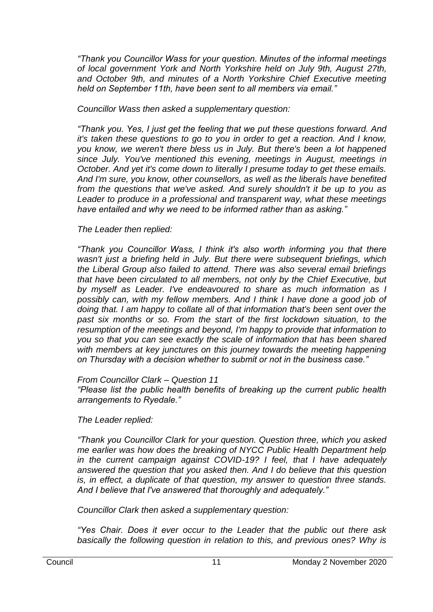*"Thank you Councillor Wass for your question. Minutes of the informal meetings of local government York and North Yorkshire held on July 9th, August 27th, and October 9th, and minutes of a North Yorkshire Chief Executive meeting held on September 11th, have been sent to all members via email."*

*Councillor Wass then asked a supplementary question:*

*"Thank you. Yes, I just get the feeling that we put these questions forward. And it's taken these questions to go to you in order to get a reaction. And I know, you know, we weren't there bless us in July. But there's been a lot happened since July. You've mentioned this evening, meetings in August, meetings in October. And yet it's come down to literally I presume today to get these emails. And I'm sure, you know, other counsellors, as well as the liberals have benefited from the questions that we've asked. And surely shouldn't it be up to you as Leader to produce in a professional and transparent way, what these meetings have entailed and why we need to be informed rather than as asking."*

# *The Leader then replied:*

*"Thank you Councillor Wass, I think it's also worth informing you that there wasn't just a briefing held in July. But there were subsequent briefings, which the Liberal Group also failed to attend. There was also several email briefings that have been circulated to all members, not only by the Chief Executive, but by myself as Leader. I've endeavoured to share as much information as I possibly can, with my fellow members. And I think I have done a good job of doing that. I am happy to collate all of that information that's been sent over the past six months or so. From the start of the first lockdown situation, to the resumption of the meetings and beyond, I'm happy to provide that information to you so that you can see exactly the scale of information that has been shared*  with members at key junctures on this journey towards the meeting happening *on Thursday with a decision whether to submit or not in the business case."*

## *From Councillor Clark – Question 11*

*"Please list the public health benefits of breaking up the current public health arrangements to Ryedale."*

*The Leader replied:*

*"Thank you Councillor Clark for your question. Question three, which you asked me earlier was how does the breaking of NYCC Public Health Department help in the current campaign against COVID-19? I feel, that I have adequately answered the question that you asked then. And I do believe that this question is, in effect, a duplicate of that question, my answer to question three stands. And I believe that I've answered that thoroughly and adequately."*

*Councillor Clark then asked a supplementary question:*

*"Yes Chair. Does it ever occur to the Leader that the public out there ask basically the following question in relation to this, and previous ones? Why is*